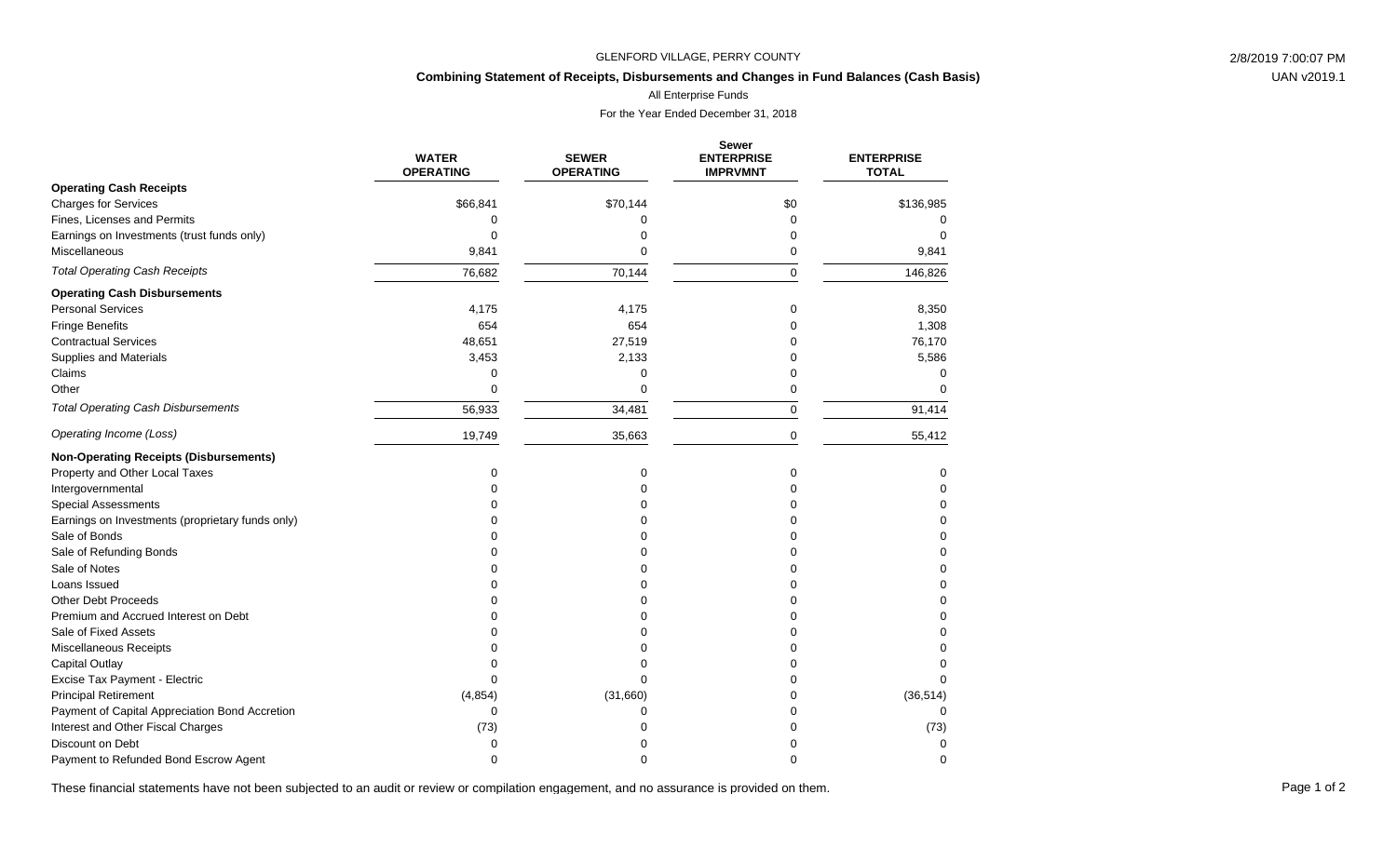### GLENFORD VILLAGE, PERRY COUNTY 2/8/2019 7:00:07 PM

# **Combining Statement of Receipts, Disbursements and Changes in Fund Balances (Cash Basis)**

All Enterprise Funds

For the Year Ended December 31, 2018

|                                                  | <b>WATER</b><br><b>OPERATING</b> | <b>SEWER</b><br><b>OPERATING</b> | <b>Sewer</b><br><b>ENTERPRISE</b><br><b>IMPRVMNT</b> | <b>ENTERPRISE</b><br><b>TOTAL</b> |
|--------------------------------------------------|----------------------------------|----------------------------------|------------------------------------------------------|-----------------------------------|
| <b>Operating Cash Receipts</b>                   |                                  |                                  |                                                      |                                   |
| <b>Charges for Services</b>                      | \$66,841                         | \$70,144                         | \$0                                                  | \$136,985                         |
| Fines, Licenses and Permits                      | 0                                | 0                                | 0                                                    |                                   |
| Earnings on Investments (trust funds only)       | 0                                | $\Omega$                         | 0                                                    | $\Omega$                          |
| Miscellaneous                                    | 9,841                            | $\Omega$                         | 0                                                    | 9,841                             |
| <b>Total Operating Cash Receipts</b>             | 76,682                           | 70,144                           | $\Omega$                                             | 146,826                           |
| <b>Operating Cash Disbursements</b>              |                                  |                                  |                                                      |                                   |
| <b>Personal Services</b>                         | 4,175                            | 4,175                            | 0                                                    | 8,350                             |
| <b>Fringe Benefits</b>                           | 654                              | 654                              | 0                                                    | 1,308                             |
| <b>Contractual Services</b>                      | 48,651                           | 27,519                           |                                                      | 76,170                            |
| <b>Supplies and Materials</b>                    | 3,453                            | 2,133                            | 0                                                    | 5,586                             |
| Claims                                           | 0                                | $\mathbf 0$                      | 0                                                    | $\Omega$                          |
| Other                                            | $\Omega$                         | 0                                | 0                                                    | O                                 |
| <b>Total Operating Cash Disbursements</b>        | 56,933                           | 34,481                           | 0                                                    | 91,414                            |
| Operating Income (Loss)                          | 19,749                           | 35,663                           | 0                                                    | 55,412                            |
| <b>Non-Operating Receipts (Disbursements)</b>    |                                  |                                  |                                                      |                                   |
| Property and Other Local Taxes                   | 0                                | 0                                | 0                                                    | 0                                 |
| Intergovernmental                                |                                  | $\Omega$                         | 0                                                    | 0                                 |
| <b>Special Assessments</b>                       |                                  | $\Omega$                         |                                                      | $\Omega$                          |
| Earnings on Investments (proprietary funds only) |                                  | $\Omega$                         | ∩                                                    | $\Omega$                          |
| Sale of Bonds                                    |                                  | 0                                |                                                      |                                   |
| Sale of Refunding Bonds                          |                                  | 0                                | ი                                                    | 0                                 |
| Sale of Notes                                    |                                  | 0                                | ი                                                    | $\Omega$                          |
| Loans Issued                                     |                                  | 0                                |                                                      | $\Omega$                          |
| <b>Other Debt Proceeds</b>                       |                                  | $\Omega$                         |                                                      | 0                                 |
| Premium and Accrued Interest on Debt             |                                  | $\Omega$                         |                                                      | 0                                 |
| Sale of Fixed Assets                             |                                  | $\Omega$                         |                                                      | $\Omega$                          |
| Miscellaneous Receipts                           |                                  | $\Omega$                         |                                                      | $\Omega$                          |
| <b>Capital Outlay</b>                            |                                  | $\Omega$                         | U                                                    | $\Omega$                          |
| Excise Tax Payment - Electric                    | ∩                                | $\Omega$                         | U                                                    | $\Omega$                          |
| <b>Principal Retirement</b>                      | (4, 854)                         | (31,660)                         | 0                                                    | (36, 514)                         |
| Payment of Capital Appreciation Bond Accretion   | O                                | 0                                |                                                      |                                   |
| Interest and Other Fiscal Charges                | (73)                             | 0                                | 0                                                    | (73)                              |
| Discount on Debt                                 | $\Omega$                         | n                                |                                                      | $\Omega$                          |
| Payment to Refunded Bond Escrow Agent            | $\Omega$                         | $\Omega$                         | U                                                    | $\Omega$                          |

These financial statements have not been subjected to an audit or review or compilation engagement, and no assurance is provided on them.